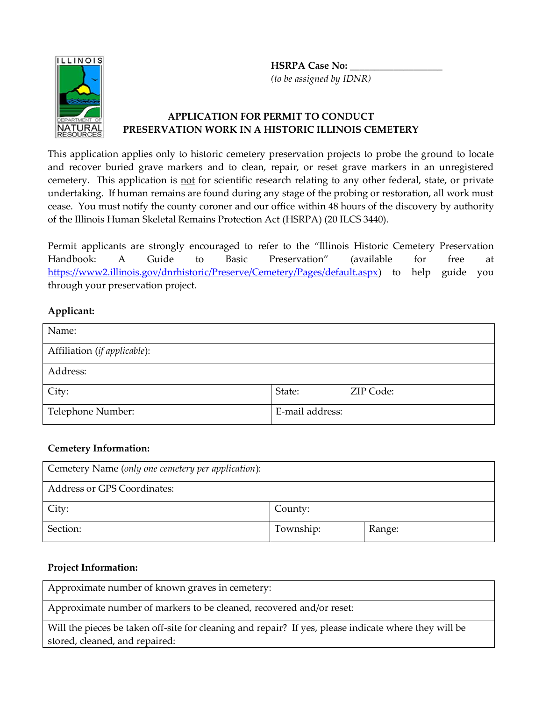**HSRPA Case No: \_\_\_\_\_\_\_\_\_\_\_\_\_\_\_\_\_\_\_**  *(to be assigned by IDNR)*



## **APPLICATION FOR PERMIT TO CONDUCT PRESERVATION WORK IN A HISTORIC ILLINOIS CEMETERY**

This application applies only to historic cemetery preservation projects to probe the ground to locate and recover buried grave markers and to clean, repair, or reset grave markers in an unregistered cemetery. This application is not for scientific research relating to any other federal, state, or private undertaking. If human remains are found during any stage of the probing or restoration, all work must cease. You must notify the county coroner and our office within 48 hours of the discovery by authority of the Illinois Human Skeletal Remains Protection Act (HSRPA) (20 ILCS 3440).

Permit applicants are strongly encouraged to refer to the "Illinois Historic Cemetery Preservation Handbook: A Guide to Basic Preservation" (available for free at [https://www2.illinois.gov/dnrhistoric/Preserve/Cemetery/Pages/default.aspx\)](https://www2.illinois.gov/dnrhistoric/Preserve/Cemetery/Pages/default.aspx) to help guide you through your preservation project.

# **Applicant:**

| Name:                        |                 |           |
|------------------------------|-----------------|-----------|
| Affiliation (if applicable): |                 |           |
| Address:                     |                 |           |
| City:                        | State:          | ZIP Code: |
| Telephone Number:            | E-mail address: |           |

### **Cemetery Information:**

| Cemetery Name (only one cemetery per application): |           |        |  |  |
|----------------------------------------------------|-----------|--------|--|--|
| <b>Address or GPS Coordinates:</b>                 |           |        |  |  |
| City:                                              | County:   |        |  |  |
| Section:                                           | Township: | Range: |  |  |

### **Project Information:**

Approximate number of known graves in cemetery:

Approximate number of markers to be cleaned, recovered and/or reset:

Will the pieces be taken off-site for cleaning and repair? If yes, please indicate where they will be stored, cleaned, and repaired: